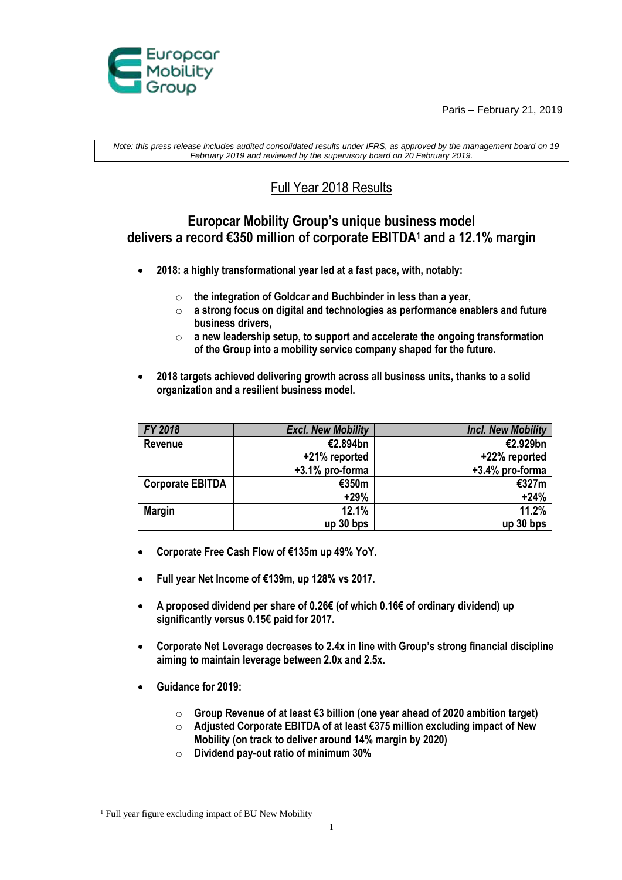Paris – February 21, 2019



*Note: this press release includes audited consolidated results under IFRS, as approved by the management board on 19 February 2019 and reviewed by the supervisory board on 20 February 2019.*

# Full Year 2018 Results

## **Europcar Mobility Group's unique business model delivers a record €350 million of corporate EBITDA<sup>1</sup> and a 12.1% margin**

- **2018: a highly transformational year led at a fast pace, with, notably:** 
	- o **the integration of Goldcar and Buchbinder in less than a year,**
	- o **a strong focus on digital and technologies as performance enablers and future business drivers,**
	- o **a new leadership setup, to support and accelerate the ongoing transformation of the Group into a mobility service company shaped for the future.**
- **2018 targets achieved delivering growth across all business units, thanks to a solid organization and a resilient business model.**

| FY 2018                 | <b>Excl. New Mobility</b> | <b>Incl. New Mobility</b> |
|-------------------------|---------------------------|---------------------------|
|                         |                           |                           |
| Revenue                 | €2.894bn                  | €2.929bn                  |
|                         | +21% reported             | +22% reported             |
|                         | +3.1% pro-forma           | +3.4% pro-forma           |
| <b>Corporate EBITDA</b> | €350m                     | €327m                     |
|                         | $+29%$                    | $+24%$                    |
| <b>Margin</b>           | 12.1%                     | 11.2%                     |
|                         | $up$ 30 bps               | $up$ 30 bps               |

- **Corporate Free Cash Flow of €135m up 49% YoY.**
- **Full year Net Income of €139m, up 128% vs 2017.**
- **A proposed dividend per share of 0.26€ (of which 0.16€ of ordinary dividend) up significantly versus 0.15€ paid for 2017.**
- **Corporate Net Leverage decreases to 2.4x in line with Group's strong financial discipline aiming to maintain leverage between 2.0x and 2.5x.**
- **Guidance for 2019:**
	- o **Group Revenue of at least €3 billion (one year ahead of 2020 ambition target)**
	- o **Adjusted Corporate EBITDA of at least €375 million excluding impact of New Mobility (on track to deliver around 14% margin by 2020)**
	- o **Dividend pay-out ratio of minimum 30%**

<sup>1</sup> <sup>1</sup> Full year figure excluding impact of BU New Mobility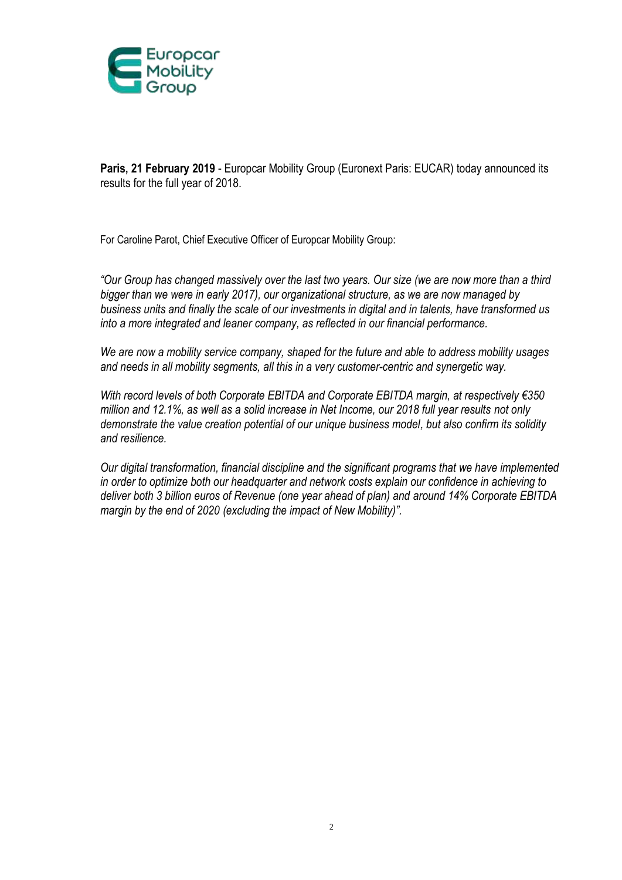

**Paris, 21 February 2019** - Europcar Mobility Group (Euronext Paris: EUCAR) today announced its results for the full year of 2018.

For Caroline Parot, Chief Executive Officer of Europcar Mobility Group:

*"Our Group has changed massively over the last two years. Our size (we are now more than a third bigger than we were in early 2017), our organizational structure, as we are now managed by business units and finally the scale of our investments in digital and in talents, have transformed us into a more integrated and leaner company, as reflected in our financial performance.* 

*We are now a mobility service company, shaped for the future and able to address mobility usages and needs in all mobility segments, all this in a very customer-centric and synergetic way.*

*With record levels of both Corporate EBITDA and Corporate EBITDA margin, at respectively €350 million and 12.1%, as well as a solid increase in Net Income, our 2018 full year results not only demonstrate the value creation potential of our unique business model, but also confirm its solidity and resilience.*

*Our digital transformation, financial discipline and the significant programs that we have implemented in order to optimize both our headquarter and network costs explain our confidence in achieving to deliver both 3 billion euros of Revenue (one year ahead of plan) and around 14% Corporate EBITDA margin by the end of 2020 (excluding the impact of New Mobility)".*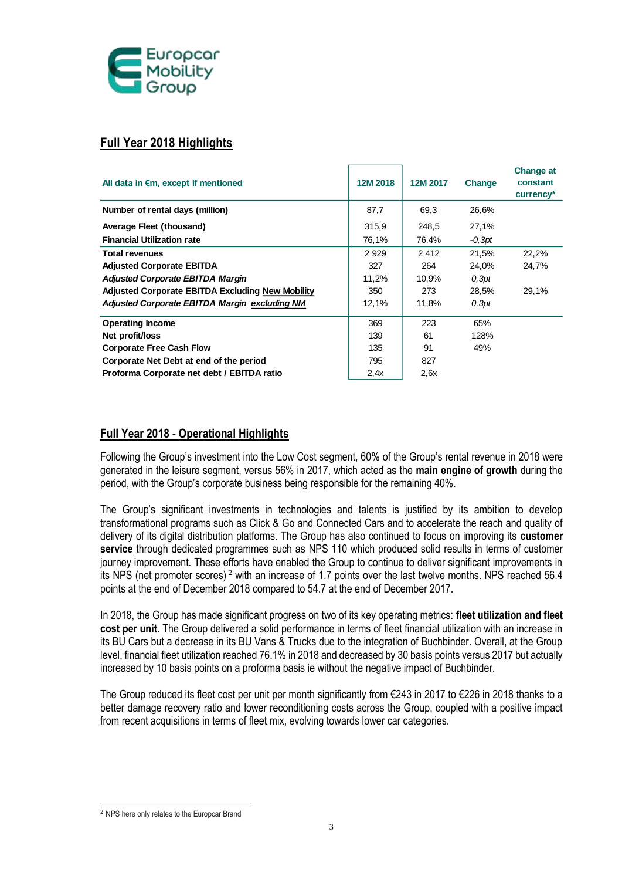

## **Full Year 2018 Highlights**

| All data in €m, except if mentioned                                                                                                                                                                                                                                                                                                                                                                                                                                                                                                                                                                                                                                                                                                                                               | 12M 2018 | 12M 2017 | <b>Change</b> | <b>Change at</b><br>constant<br>currency* |
|-----------------------------------------------------------------------------------------------------------------------------------------------------------------------------------------------------------------------------------------------------------------------------------------------------------------------------------------------------------------------------------------------------------------------------------------------------------------------------------------------------------------------------------------------------------------------------------------------------------------------------------------------------------------------------------------------------------------------------------------------------------------------------------|----------|----------|---------------|-------------------------------------------|
| Number of rental days (million)                                                                                                                                                                                                                                                                                                                                                                                                                                                                                                                                                                                                                                                                                                                                                   | 87,7     | 69,3     | 26,6%         |                                           |
| <b>Average Fleet (thousand)</b>                                                                                                                                                                                                                                                                                                                                                                                                                                                                                                                                                                                                                                                                                                                                                   | 315,9    | 248,5    | 27,1%         |                                           |
| <b>Financial Utilization rate</b>                                                                                                                                                                                                                                                                                                                                                                                                                                                                                                                                                                                                                                                                                                                                                 | 76,1%    | 76,4%    | $-0,3pt$      |                                           |
| <b>Total revenues</b>                                                                                                                                                                                                                                                                                                                                                                                                                                                                                                                                                                                                                                                                                                                                                             | 2929     | 2412     | 21,5%         | 22,2%                                     |
| <b>Adjusted Corporate EBITDA</b>                                                                                                                                                                                                                                                                                                                                                                                                                                                                                                                                                                                                                                                                                                                                                  | 327      | 264      | 24,0%         | 24,7%                                     |
| <b>Adjusted Corporate EBITDA Margin</b>                                                                                                                                                                                                                                                                                                                                                                                                                                                                                                                                                                                                                                                                                                                                           | 11,2%    | 10,9%    | 0,3pt         |                                           |
| Adjusted Corporate EBITDA Excluding New Mobility                                                                                                                                                                                                                                                                                                                                                                                                                                                                                                                                                                                                                                                                                                                                  | 350      | 273      | 28,5%         | 29,1%                                     |
| Adjusted Corporate EBITDA Margin excluding NM                                                                                                                                                                                                                                                                                                                                                                                                                                                                                                                                                                                                                                                                                                                                     | 12,1%    | 11,8%    | 0,3pt         |                                           |
| <b>Operating Income</b>                                                                                                                                                                                                                                                                                                                                                                                                                                                                                                                                                                                                                                                                                                                                                           | 369      | 223      | 65%           |                                           |
| Net profit/loss                                                                                                                                                                                                                                                                                                                                                                                                                                                                                                                                                                                                                                                                                                                                                                   | 139      | 61       | 128%          |                                           |
| <b>Corporate Free Cash Flow</b>                                                                                                                                                                                                                                                                                                                                                                                                                                                                                                                                                                                                                                                                                                                                                   | 135      | 91       | 49%           |                                           |
| Corporate Net Debt at end of the period                                                                                                                                                                                                                                                                                                                                                                                                                                                                                                                                                                                                                                                                                                                                           | 795      | 827      |               |                                           |
| Proforma Corporate net debt / EBITDA ratio                                                                                                                                                                                                                                                                                                                                                                                                                                                                                                                                                                                                                                                                                                                                        | 2,4x     | 2,6x     |               |                                           |
| Following the Group's investment into the Low Cost segment, 60% of the Group's rental revenue in 2018 were<br>generated in the leisure segment, versus 56% in 2017, which acted as the main engine of growth during the<br>period, with the Group's corporate business being responsible for the remaining 40%.                                                                                                                                                                                                                                                                                                                                                                                                                                                                   |          |          |               |                                           |
| The Group's significant investments in technologies and talents is justified by its ambition to develop<br>transformational programs such as Click & Go and Connected Cars and to accelerate the reach and quality of<br>delivery of its digital distribution platforms. The Group has also continued to focus on improving its customer<br>service through dedicated programmes such as NPS 110 which produced solid results in terms of customer<br>journey improvement. These efforts have enabled the Group to continue to deliver significant improvements in<br>its NPS (net promoter scores) <sup>2</sup> with an increase of 1.7 points over the last twelve months. NPS reached 56.4<br>points at the end of December 2018 compared to 54.7 at the end of December 2017. |          |          |               |                                           |
| In 2018, the Group has made significant progress on two of its key operating metrics: fleet utilization and fleet<br>cost per unit. The Group delivered a solid performance in terms of fleet financial utilization with an increase in<br>its BU Cars but a decrease in its BU Vans & Trucks due to the integration of Buchbinder. Overall, at the Group<br>level, financial fleet utilization reached 76.1% in 2018 and decreased by 30 basis points versus 2017 but actually<br>increased by 10 basis points on a proforma basis ie without the negative impact of Buchbinder.                                                                                                                                                                                                 |          |          |               |                                           |
| The Group reduced its fleet cost per unit per month significantly from €243 in 2017 to €226 in 2018 thanks to a<br>better damage recovery ratio and lower reconditioning costs across the Group, coupled with a positive impact<br>from recent acquisitions in terms of fleet mix, evolving towards lower car categories.                                                                                                                                                                                                                                                                                                                                                                                                                                                         |          |          |               |                                           |
| <sup>2</sup> NPS here only relates to the Europcar Brand                                                                                                                                                                                                                                                                                                                                                                                                                                                                                                                                                                                                                                                                                                                          |          |          |               |                                           |

### **Full Year 2018 - Operational Highlights**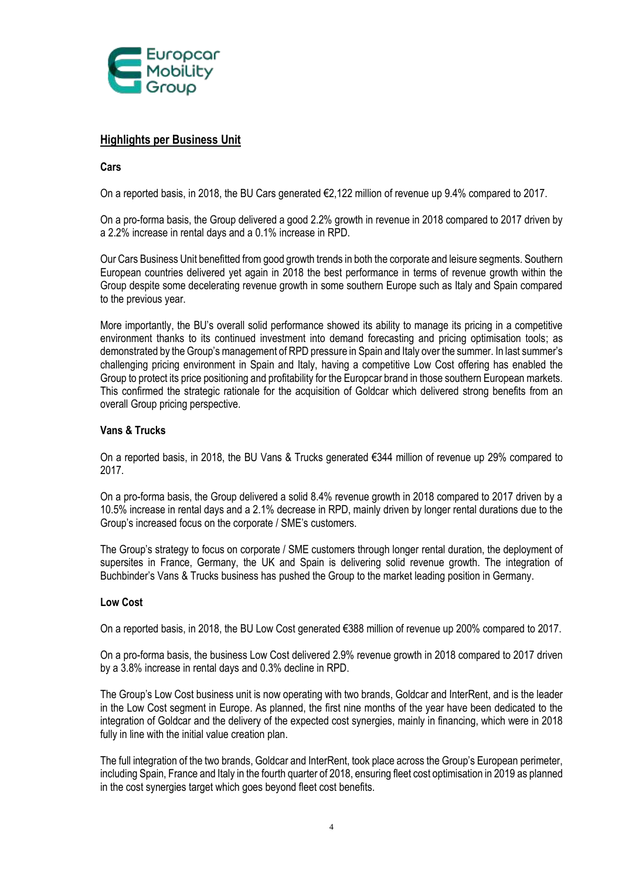

### **Highlights per Business Unit**

### **Cars**

On a reported basis, in 2018, the BU Cars generated €2,122 million of revenue up 9.4% compared to 2017.

On a pro-forma basis, the Group delivered a good 2.2% growth in revenue in 2018 compared to 2017 driven by a 2.2% increase in rental days and a 0.1% increase in RPD.

Our Cars Business Unit benefitted from good growth trends in both the corporate and leisure segments. Southern European countries delivered yet again in 2018 the best performance in terms of revenue growth within the Group despite some decelerating revenue growth in some southern Europe such as Italy and Spain compared to the previous year.

More importantly, the BU's overall solid performance showed its ability to manage its pricing in a competitive environment thanks to its continued investment into demand forecasting and pricing optimisation tools; as demonstrated by the Group's management of RPD pressure in Spain and Italy over the summer. In last summer's challenging pricing environment in Spain and Italy, having a competitive Low Cost offering has enabled the Group to protect its price positioning and profitability for the Europcar brand in those southern European markets. This confirmed the strategic rationale for the acquisition of Goldcar which delivered strong benefits from an overall Group pricing perspective.

### **Vans & Trucks**

On a reported basis, in 2018, the BU Vans & Trucks generated €344 million of revenue up 29% compared to 2017.

On a pro-forma basis, the Group delivered a solid 8.4% revenue growth in 2018 compared to 2017 driven by a 10.5% increase in rental days and a 2.1% decrease in RPD, mainly driven by longer rental durations due to the Group's increased focus on the corporate / SME's customers.

The Group's strategy to focus on corporate / SME customers through longer rental duration, the deployment of supersites in France, Germany, the UK and Spain is delivering solid revenue growth. The integration of Buchbinder's Vans & Trucks business has pushed the Group to the market leading position in Germany.

### **Low Cost**

On a reported basis, in 2018, the BU Low Cost generated €388 million of revenue up 200% compared to 2017.

On a pro-forma basis, the business Low Cost delivered 2.9% revenue growth in 2018 compared to 2017 driven by a 3.8% increase in rental days and 0.3% decline in RPD.

The Group's Low Cost business unit is now operating with two brands, Goldcar and InterRent, and is the leader in the Low Cost segment in Europe. As planned, the first nine months of the year have been dedicated to the integration of Goldcar and the delivery of the expected cost synergies, mainly in financing, which were in 2018 fully in line with the initial value creation plan.

The full integration of the two brands, Goldcar and InterRent, took place across the Group's European perimeter, including Spain, France and Italy in the fourth quarter of 2018, ensuring fleet cost optimisation in 2019 as planned in the cost synergies target which goes beyond fleet cost benefits.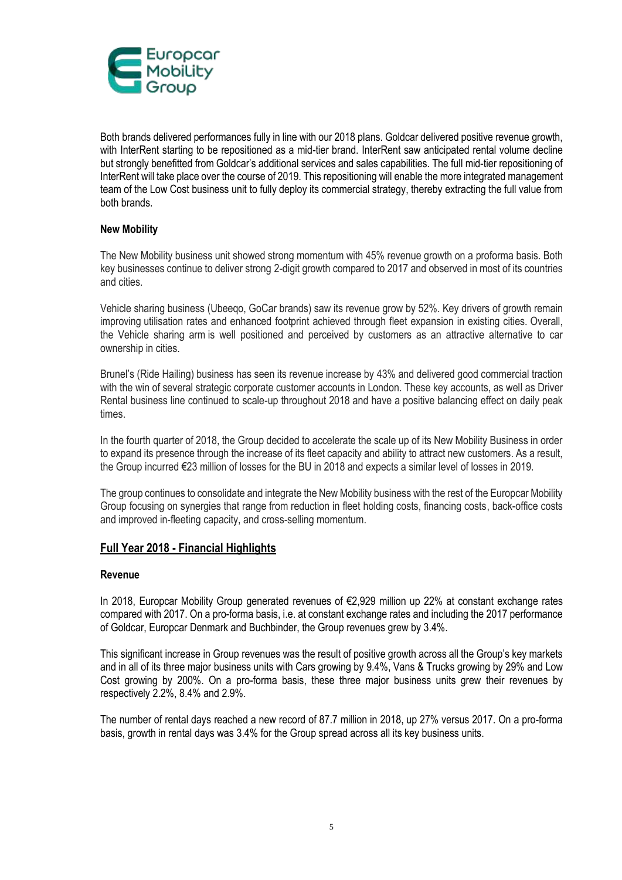

Both brands delivered performances fully in line with our 2018 plans. Goldcar delivered positive revenue growth, with InterRent starting to be repositioned as a mid-tier brand. InterRent saw anticipated rental volume decline but strongly benefitted from Goldcar's additional services and sales capabilities. The full mid-tier repositioning of InterRent will take place over the course of 2019. This repositioning will enable the more integrated management team of the Low Cost business unit to fully deploy its commercial strategy, thereby extracting the full value from both brands.

### **New Mobility**

The New Mobility business unit showed strong momentum with 45% revenue growth on a proforma basis. Both key businesses continue to deliver strong 2-digit growth compared to 2017 and observed in most of its countries and cities.

Vehicle sharing business (Ubeeqo, GoCar brands) saw its revenue grow by 52%. Key drivers of growth remain improving utilisation rates and enhanced footprint achieved through fleet expansion in existing cities. Overall, the Vehicle sharing arm is well positioned and perceived by customers as an attractive alternative to car ownership in cities.

Brunel's (Ride Hailing) business has seen its revenue increase by 43% and delivered good commercial traction with the win of several strategic corporate customer accounts in London. These key accounts, as well as Driver Rental business line continued to scale-up throughout 2018 and have a positive balancing effect on daily peak times.

In the fourth quarter of 2018, the Group decided to accelerate the scale up of its New Mobility Business in order to expand its presence through the increase of its fleet capacity and ability to attract new customers. As a result, the Group incurred €23 million of losses for the BU in 2018 and expects a similar level of losses in 2019.

The group continues to consolidate and integrate the New Mobility business with the rest of the Europcar Mobility Group focusing on synergies that range from reduction in fleet holding costs, financing costs, back-office costs and improved in-fleeting capacity, and cross-selling momentum.

### **Full Year 2018 - Financial Highlights**

### **Revenue**

In 2018, Europcar Mobility Group generated revenues of €2,929 million up 22% at constant exchange rates compared with 2017. On a pro-forma basis, i.e. at constant exchange rates and including the 2017 performance of Goldcar, Europcar Denmark and Buchbinder, the Group revenues grew by 3.4%.

This significant increase in Group revenues was the result of positive growth across all the Group's key markets and in all of its three major business units with Cars growing by 9.4%, Vans & Trucks growing by 29% and Low Cost growing by 200%. On a pro-forma basis, these three major business units grew their revenues by respectively 2.2%, 8.4% and 2.9%.

The number of rental days reached a new record of 87.7 million in 2018, up 27% versus 2017. On a pro-forma basis, growth in rental days was 3.4% for the Group spread across all its key business units.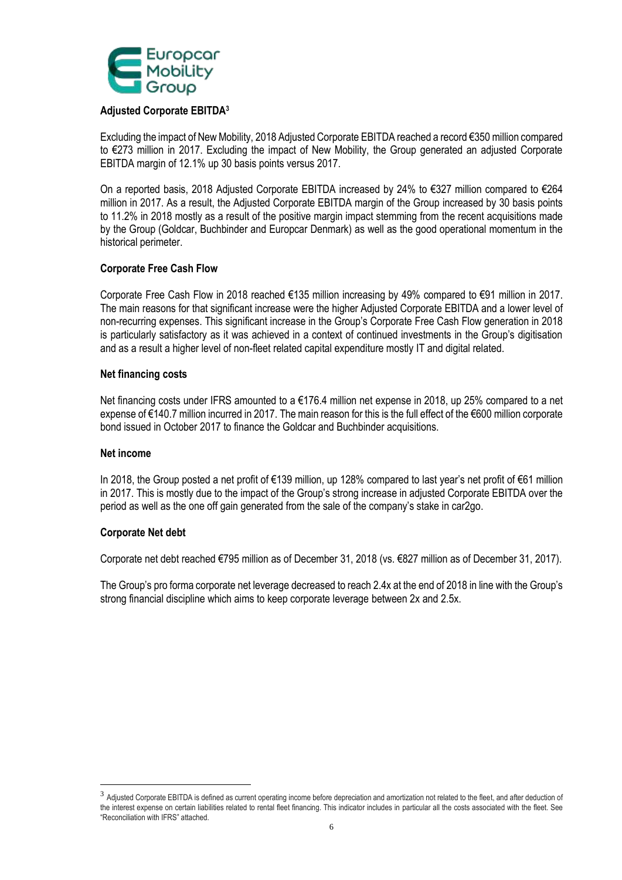

### **Adjusted Corporate EBITDA<sup>3</sup>**

Excluding the impact of New Mobility, 2018 Adjusted Corporate EBITDA reached a record €350 million compared to €273 million in 2017. Excluding the impact of New Mobility, the Group generated an adjusted Corporate EBITDA margin of 12.1% up 30 basis points versus 2017.

On a reported basis, 2018 Adjusted Corporate EBITDA increased by 24% to €327 million compared to €264 million in 2017. As a result, the Adjusted Corporate EBITDA margin of the Group increased by 30 basis points to 11.2% in 2018 mostly as a result of the positive margin impact stemming from the recent acquisitions made by the Group (Goldcar, Buchbinder and Europcar Denmark) as well as the good operational momentum in the historical perimeter.

### **Corporate Free Cash Flow**

Corporate Free Cash Flow in 2018 reached €135 million increasing by 49% compared to €91 million in 2017. The main reasons for that significant increase were the higher Adjusted Corporate EBITDA and a lower level of non-recurring expenses. This significant increase in the Group's Corporate Free Cash Flow generation in 2018 is particularly satisfactory as it was achieved in a context of continued investments in the Group's digitisation and as a result a higher level of non-fleet related capital expenditure mostly IT and digital related.

### **Net financing costs**

Net financing costs under IFRS amounted to a €176.4 million net expense in 2018, up 25% compared to a net expense of €140.7 million incurred in 2017. The main reason for this is the full effect of the €600 million corporate bond issued in October 2017 to finance the Goldcar and Buchbinder acquisitions.

### **Net income**

1

In 2018, the Group posted a net profit of €139 million, up 128% compared to last year's net profit of €61 million in 2017. This is mostly due to the impact of the Group's strong increase in adjusted Corporate EBITDA over the period as well as the one off gain generated from the sale of the company's stake in car2go.

### **Corporate Net debt**

Corporate net debt reached €795 million as of December 31, 2018 (vs. €827 million as of December 31, 2017).

The Group's pro forma corporate net leverage decreased to reach 2.4x at the end of 2018 in line with the Group's strong financial discipline which aims to keep corporate leverage between 2x and 2.5x.

 $^3$  Adjusted Corporate EBITDA is defined as current operating income before depreciation and amortization not related to the fleet, and after deduction of the interest expense on certain liabilities related to rental fleet financing. This indicator includes in particular all the costs associated with the fleet. See "Reconciliation with IFRS" attached.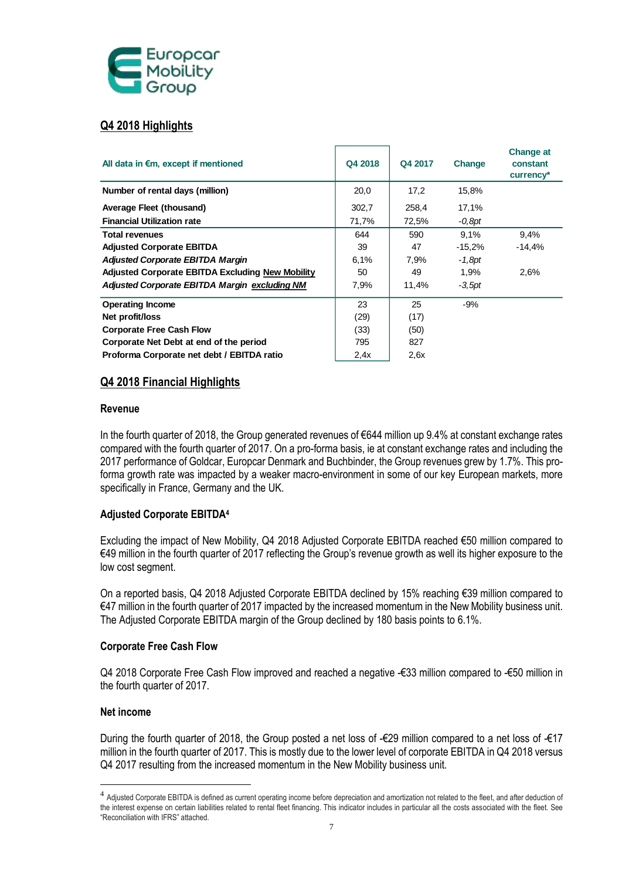

### **Q4 2018 Highlights**

| All data in $\epsilon$ m, except if mentioned    | Q4 2018 | Q4 2017 | Change    | <b>Change at</b><br>constant<br>currency* |
|--------------------------------------------------|---------|---------|-----------|-------------------------------------------|
| Number of rental days (million)                  | 20,0    | 17,2    | 15,8%     |                                           |
| Average Fleet (thousand)                         | 302,7   | 258,4   | 17,1%     |                                           |
| <b>Financial Utilization rate</b>                | 71,7%   | 72,5%   | -0.8pt    |                                           |
| <b>Total revenues</b>                            | 644     | 590     | 9,1%      | 9,4%                                      |
| <b>Adjusted Corporate EBITDA</b>                 | 39      | 47      | $-15,2\%$ | $-14,4%$                                  |
| <b>Adjusted Corporate EBITDA Margin</b>          | 6,1%    | 7,9%    | $-1,8pt$  |                                           |
| Adjusted Corporate EBITDA Excluding New Mobility | 50      | 49      | 1,9%      | 2,6%                                      |
| Adjusted Corporate EBITDA Margin excluding NM    | 7,9%    | 11,4%   | $-3.5$ pt |                                           |
| <b>Operating Income</b>                          | 23      | 25      | $-9%$     |                                           |
| Net profit/loss                                  | (29)    | (17)    |           |                                           |
| <b>Corporate Free Cash Flow</b>                  | (33)    | (50)    |           |                                           |
| Corporate Net Debt at end of the period          | 795     | 827     |           |                                           |
| Proforma Corporate net debt / EBITDA ratio       | 2.4x    | 2.6x    |           |                                           |

### **Q4 2018 Financial Highlights**

### **Revenue**

In the fourth quarter of 2018, the Group generated revenues of €644 million up 9.4% at constant exchange rates compared with the fourth quarter of 2017. On a pro-forma basis, ie at constant exchange rates and including the 2017 performance of Goldcar, Europcar Denmark and Buchbinder, the Group revenues grew by 1.7%. This proforma growth rate was impacted by a weaker macro-environment in some of our key European markets, more specifically in France, Germany and the UK.

### **Adjusted Corporate EBITDA<sup>4</sup>**

Excluding the impact of New Mobility, Q4 2018 Adjusted Corporate EBITDA reached €50 million compared to €49 million in the fourth quarter of 2017 reflecting the Group's revenue growth as well its higher exposure to the low cost segment.

On a reported basis, Q4 2018 Adjusted Corporate EBITDA declined by 15% reaching €39 million compared to €47 million in the fourth quarter of 2017 impacted by the increased momentum in the New Mobility business unit. The Adjusted Corporate EBITDA margin of the Group declined by 180 basis points to 6.1%.

### **Corporate Free Cash Flow**

Q4 2018 Corporate Free Cash Flow improved and reached a negative -€33 million compared to -€50 million in the fourth quarter of 2017.

### **Net income**

1

During the fourth quarter of 2018, the Group posted a net loss of -€29 million compared to a net loss of -€17 million in the fourth quarter of 2017. This is mostly due to the lower level of corporate EBITDA in Q4 2018 versus Q4 2017 resulting from the increased momentum in the New Mobility business unit.

 $^4$  Adjusted Corporate EBITDA is defined as current operating income before depreciation and amortization not related to the fleet, and after deduction of the interest expense on certain liabilities related to rental fleet financing. This indicator includes in particular all the costs associated with the fleet. See "Reconciliation with IFRS" attached.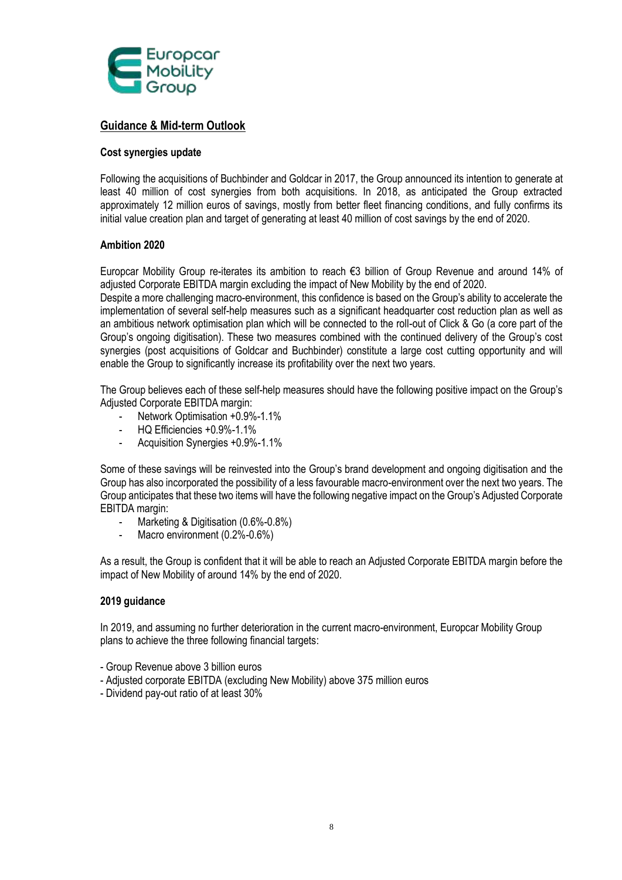

### **Guidance & Mid-term Outlook**

### **Cost synergies update**

Following the acquisitions of Buchbinder and Goldcar in 2017, the Group announced its intention to generate at least 40 million of cost synergies from both acquisitions. In 2018, as anticipated the Group extracted approximately 12 million euros of savings, mostly from better fleet financing conditions, and fully confirms its initial value creation plan and target of generating at least 40 million of cost savings by the end of 2020.

### **Ambition 2020**

Europcar Mobility Group re-iterates its ambition to reach €3 billion of Group Revenue and around 14% of adjusted Corporate EBITDA margin excluding the impact of New Mobility by the end of 2020.

Despite a more challenging macro-environment, this confidence is based on the Group's ability to accelerate the implementation of several self-help measures such as a significant headquarter cost reduction plan as well as an ambitious network optimisation plan which will be connected to the roll-out of Click & Go (a core part of the Group's ongoing digitisation). These two measures combined with the continued delivery of the Group's cost synergies (post acquisitions of Goldcar and Buchbinder) constitute a large cost cutting opportunity and will enable the Group to significantly increase its profitability over the next two years.

The Group believes each of these self-help measures should have the following positive impact on the Group's Adjusted Corporate EBITDA margin:

- Network Optimisation +0.9%-1.1%
- HQ Efficiencies +0.9%-1.1%
- Acquisition Synergies +0.9%-1.1%

Some of these savings will be reinvested into the Group's brand development and ongoing digitisation and the Group has also incorporated the possibility of a less favourable macro-environment over the next two years. The Group anticipates that these two items will have the following negative impact on the Group's Adjusted Corporate EBITDA margin:

- Marketing & Digitisation (0.6%-0.8%)
- Macro environment (0.2%-0.6%)

As a result, the Group is confident that it will be able to reach an Adjusted Corporate EBITDA margin before the impact of New Mobility of around 14% by the end of 2020.

### **2019 guidance**

In 2019, and assuming no further deterioration in the current macro-environment, Europcar Mobility Group plans to achieve the three following financial targets:

- Group Revenue above 3 billion euros
- Adjusted corporate EBITDA (excluding New Mobility) above 375 million euros
- Dividend pay-out ratio of at least 30%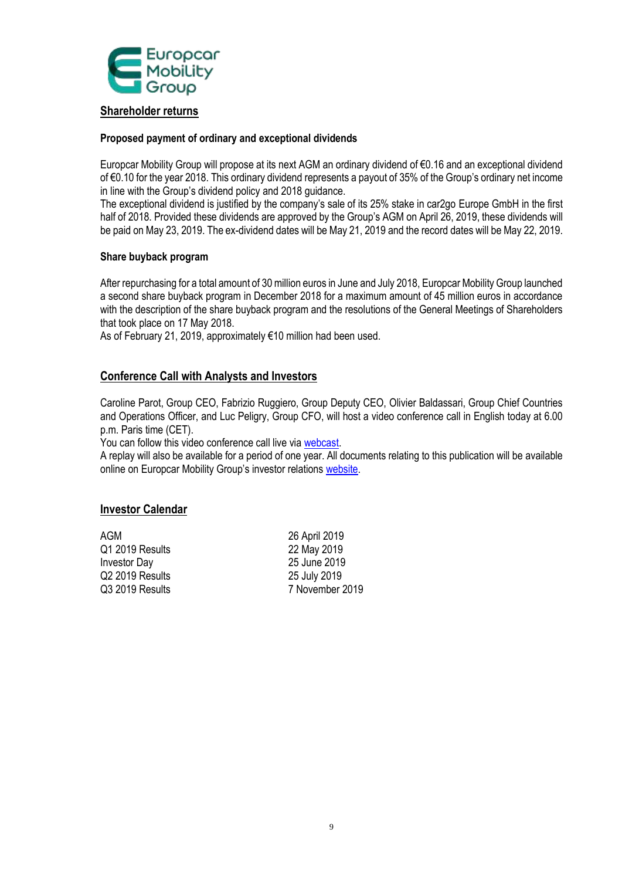

### **Shareholder returns**

### **Proposed payment of ordinary and exceptional dividends**

Europcar Mobility Group will propose at its next AGM an ordinary dividend of €0.16 and an exceptional dividend of €0.10 for the year 2018. This ordinary dividend represents a payout of 35% of the Group's ordinary net income in line with the Group's dividend policy and 2018 guidance.

The exceptional dividend is justified by the company's sale of its 25% stake in car2go Europe GmbH in the first half of 2018. Provided these dividends are approved by the Group's AGM on April 26, 2019, these dividends will be paid on May 23, 2019. The ex-dividend dates will be May 21, 2019 and the record dates will be May 22, 2019.

### **Share buyback program**

After repurchasing for a total amount of 30 million euros in June and July 2018, Europcar Mobility Group launched a second share buyback program in December 2018 for a maximum amount of 45 million euros in accordance with the description of the share buyback program and the resolutions of the General Meetings of Shareholders that took place on 17 May 2018.

As of February 21, 2019, approximately €10 million had been used.

### **Conference Call with Analysts and Investors**

Caroline Parot, Group CEO, Fabrizio Ruggiero, Group Deputy CEO, Olivier Baldassari, Group Chief Countries and Operations Officer, and Luc Peligry, Group CFO, will host a video conference call in English today at 6.00 p.m. Paris time (CET).

You can follow this video conference call live via [webcast.](https://globalmeet.webcasts.com/starthere.jsp?ei=1228502&tp_key=cbf0b8951a)

A replay will also be available for a period of one year. All documents relating to this publication will be available online on Europcar Mobility Group's investor relations [website.](https://investors.europcar-group.com/)

### **Investor Calendar**

AGM 26 April 2019 Q1 2019 Results 22 May 2019 Investor Day 25 June 2019 Q2 2019 Results 25 July 2019

Q3 2019 Results 7 November 2019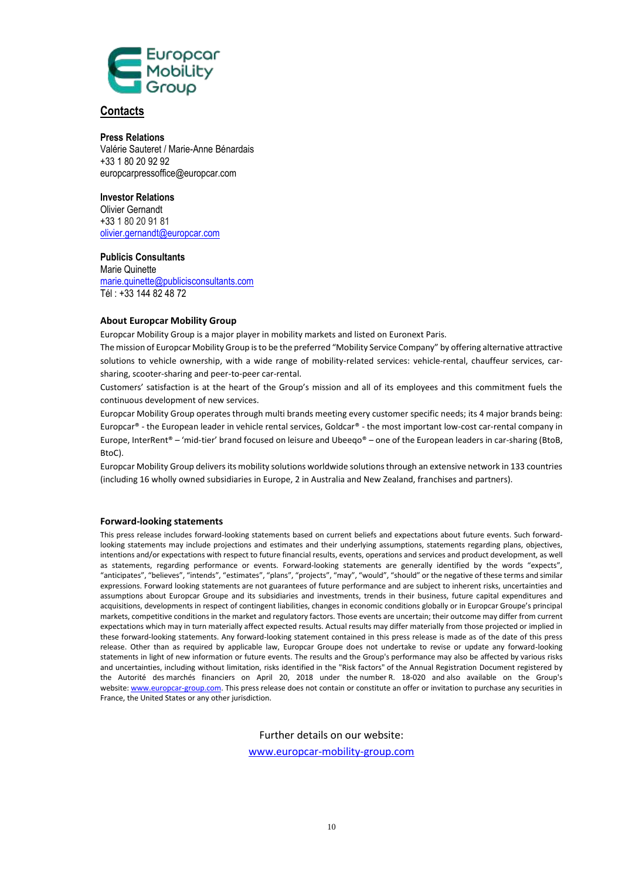

#### **Contacts**

**Press Relations** Valérie Sauteret / Marie-Anne Bénardais +33 1 80 20 92 92 europcarpressoffice@europcar.com

#### **Investor Relations**

Olivier Gernandt +33 1 80 20 91 81 [olivier.gernandt@europcar.com](mailto:olivier.gernandt@europcar.com)

### **Publicis Consultants**

Marie Quinette [marie.quinette@publicisconsultants.com](mailto:marie.quinette@publicisconsultants.com) Tél : +33 144 82 48 72

#### **About Europcar Mobility Group**

Europcar Mobility Group is a major player in mobility markets and listed on Euronext Paris.

The mission of Europcar Mobility Group is to be the preferred "Mobility Service Company" by offering alternative attractive solutions to vehicle ownership, with a wide range of mobility-related services: vehicle-rental, chauffeur services, carsharing, scooter-sharing and peer-to-peer car-rental.

Customers' satisfaction is at the heart of the Group's mission and all of its employees and this commitment fuels the continuous development of new services.

Europcar Mobility Group operates through multi brands meeting every customer specific needs; its 4 major brands being: Europcar® - the European leader in vehicle rental services, Goldcar® - the most important low-cost car-rental company in Europe, InterRent® – 'mid-tier' brand focused on leisure and Ubeeqo® – one of the European leaders in car-sharing (BtoB, BtoC).

Europcar Mobility Group delivers its mobility solutions worldwide solutions through an extensive network in 133 countries (including 16 wholly owned subsidiaries in Europe, 2 in Australia and New Zealand, franchises and partners).

#### **Forward-looking statements**

This press release includes forward-looking statements based on current beliefs and expectations about future events. Such forwardlooking statements may include projections and estimates and their underlying assumptions, statements regarding plans, objectives, intentions and/or expectations with respect to future financial results, events, operations and services and product development, as well as statements, regarding performance or events. Forward-looking statements are generally identified by the words "expects", "anticipates", "believes", "intends", "estimates", "plans", "projects", "may", "would", "should" or the negative of these terms and similar expressions. Forward looking statements are not guarantees of future performance and are subject to inherent risks, uncertainties and assumptions about Europcar Groupe and its subsidiaries and investments, trends in their business, future capital expenditures and acquisitions, developments in respect of contingent liabilities, changes in economic conditions globally or in Europcar Groupe's principal markets, competitive conditions in the market and regulatory factors. Those events are uncertain; their outcome may differ from current expectations which may in turn materially affect expected results. Actual results may differ materially from those projected or implied in these forward-looking statements. Any forward-looking statement contained in this press release is made as of the date of this press release. Other than as required by applicable law, Europcar Groupe does not undertake to revise or update any forward-looking statements in light of new information or future events. The results and the Group's performance may also be affected by various risks and uncertainties, including without limitation, risks identified in the "Risk factors" of the Annual Registration Document registered by the Autorité des marchés financiers on April 20, 2018 under the number R. 18-020 and also available on the Group's website: [www.europcar-group.com.](http://www.europcar-group.com/) This press release does not contain or constitute an offer or invitation to purchase any securities in France, the United States or any other jurisdiction.

Further details on our website:

[www.europcar-mobility-group.com](http://www.europcar-mobility-group.com/)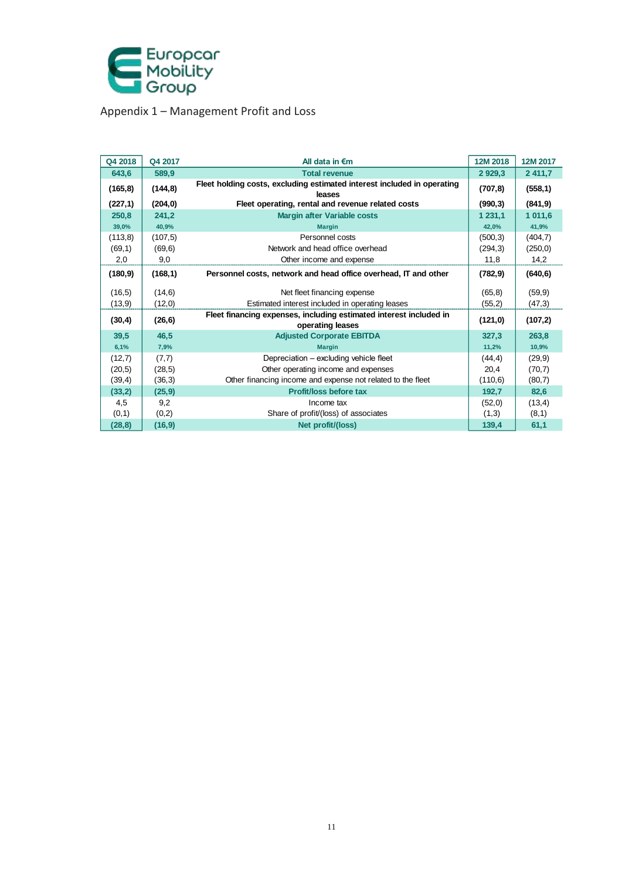

Appendix 1 – Management Profit and Loss

| Q4 2018  | Q4 2017  | All data in $\epsilon$ m                                                               | 12M 2018  | 12M 2017    |
|----------|----------|----------------------------------------------------------------------------------------|-----------|-------------|
| 643,6    | 589,9    | <b>Total revenue</b>                                                                   | 2 9 29, 3 | 2 4 1 1 , 7 |
| (165, 8) | (144, 8) | Fleet holding costs, excluding estimated interest included in operating<br>leases      | (707, 8)  | (558, 1)    |
| (227, 1) | (204, 0) | Fleet operating, rental and revenue related costs                                      | (990, 3)  | (841, 9)    |
| 250,8    | 241,2    | <b>Margin after Variable costs</b>                                                     | 1 231.1   | 1 011,6     |
| 39,0%    | 40,9%    | <b>Margin</b>                                                                          | 42,0%     | 41,9%       |
| (113, 8) | (107, 5) | Personnel costs                                                                        | (500, 3)  | (404, 7)    |
| (69,1)   | (69, 6)  | Network and head office overhead                                                       | (294,3)   | (250, 0)    |
| 2,0      | 9,0      | Other income and expense                                                               | 11,8      | 14,2        |
| (180, 9) | (168, 1) | Personnel costs, network and head office overhead, IT and other                        | (782, 9)  | (640, 6)    |
| (16, 5)  | (14, 6)  | Net fleet financing expense                                                            | (65, 8)   | (59, 9)     |
| (13, 9)  | (12,0)   | Estimated interest included in operating leases                                        | (55,2)    | (47,3)      |
| (30, 4)  | (26, 6)  | Fleet financing expenses, including estimated interest included in<br>operating leases | (121, 0)  | (107, 2)    |
| 39,5     | 46,5     | <b>Adjusted Corporate EBITDA</b>                                                       | 327,3     | 263,8       |
| 6,1%     | 7,9%     | <b>Margin</b>                                                                          | 11,2%     | 10,9%       |
| (12,7)   | (7,7)    | Depreciation - excluding vehicle fleet                                                 | (44, 4)   | (29, 9)     |
| (20,5)   | (28, 5)  | Other operating income and expenses                                                    | 20,4      | (70,7)      |
| (39,4)   | (36,3)   | Other financing income and expense not related to the fleet                            | (110,6)   | (80,7)      |
| (33,2)   | (25, 9)  | Profit/loss before tax                                                                 | 192,7     | 82,6        |
| 4,5      | 9,2      | Income tax                                                                             | (52,0)    | (13,4)      |
| (0,1)    | (0,2)    | Share of profit/(loss) of associates                                                   | (1,3)     | (8,1)       |
| (28, 8)  | (16, 9)  | Net profit/(loss)                                                                      | 139,4     | 61,1        |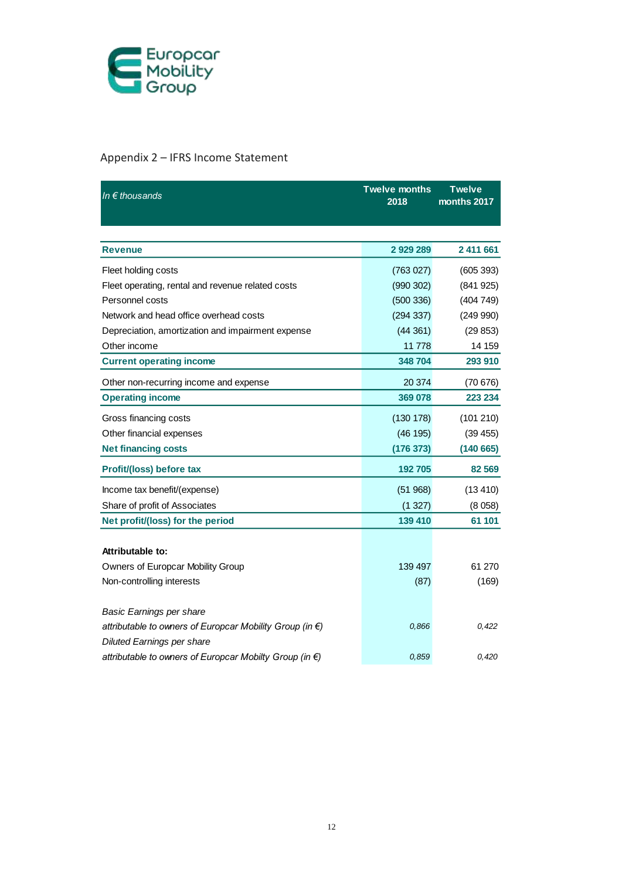

## Appendix 2 – IFRS Income Statement

| In $\epsilon$ thousands                                            | <b>Twelve months</b><br>2018 | <b>Twelve</b><br>months 2017 |
|--------------------------------------------------------------------|------------------------------|------------------------------|
|                                                                    |                              |                              |
| <b>Revenue</b>                                                     | 2929289                      | 2 411 661                    |
| Fleet holding costs                                                | (763027)                     | (605 393)                    |
| Fleet operating, rental and revenue related costs                  | (990 302)                    | (841925)                     |
| Personnel costs                                                    | (500 336)                    | (404749)                     |
| Network and head office overhead costs                             | (294 337)                    | (249990)                     |
| Depreciation, amortization and impairment expense                  | (44361)                      | (29853)                      |
| Other income                                                       | 11778                        | 14 159                       |
| <b>Current operating income</b>                                    | 348 704                      | 293 910                      |
| Other non-recurring income and expense                             | 20 374                       | (70676)                      |
| <b>Operating income</b>                                            | 369 078                      | 223 234                      |
| Gross financing costs                                              | (130 178)                    | (101 210)                    |
| Other financial expenses                                           | (46195)                      | (39 455)                     |
| <b>Net financing costs</b>                                         | (176373)                     | (140665)                     |
| Profit/(loss) before tax                                           | 192 705                      | 82 569                       |
| Income tax benefit/(expense)                                       | (51968)                      | (13 410)                     |
| Share of profit of Associates                                      | (1327)                       | (8058)                       |
| Net profit/(loss) for the period                                   | 139 410                      | 61 101                       |
|                                                                    |                              |                              |
| Attributable to:                                                   |                              |                              |
| Owners of Europcar Mobility Group                                  | 139 497                      | 61 270                       |
| Non-controlling interests                                          | (87)                         | (169)                        |
| Basic Earnings per share                                           |                              |                              |
| attributable to owners of Europcar Mobility Group (in $\epsilon$ ) | 0,866                        | 0,422                        |
| <b>Diluted Earnings per share</b>                                  |                              |                              |
| attributable to owners of Europcar Mobilty Group (in €)            | 0.859                        | 0.420                        |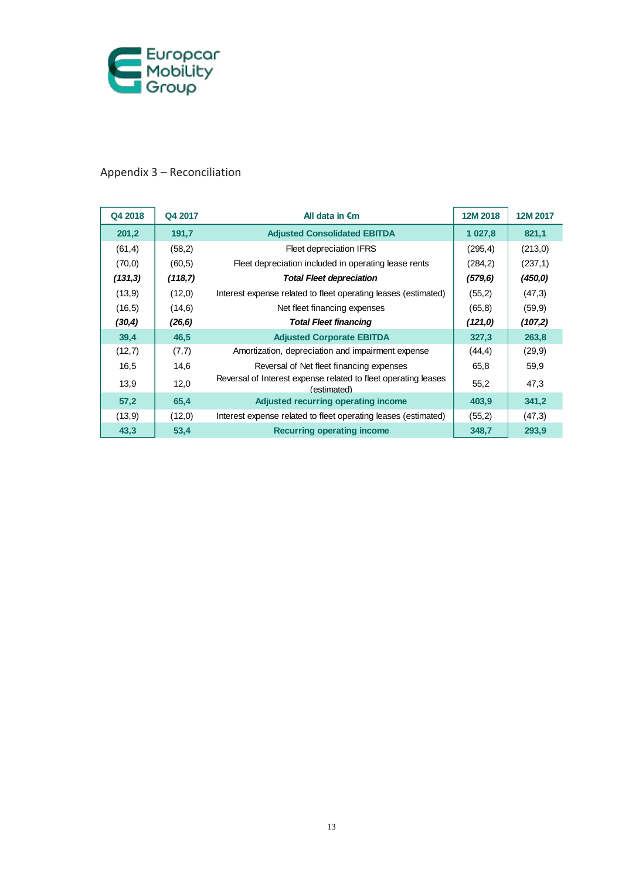

## Appendix 3 – Reconciliation

| Q4 2018 | Q4 2017 | All data in $\epsilon$ m                                                      | 12M 2018 | 12M 2017 |
|---------|---------|-------------------------------------------------------------------------------|----------|----------|
| 201,2   | 191,7   | <b>Adjusted Consolidated EBITDA</b>                                           | 1 027,8  | 821,1    |
| (61, 4) | (58,2)  | Fleet depreciation IFRS                                                       | (295, 4) | (213, 0) |
| (70, 0) | (60, 5) | Fleet depreciation included in operating lease rents                          | (284, 2) | (237,1)  |
| (131,3) | (118,7) | <b>Total Fleet depreciation</b>                                               | (579, 6) | (450, 0) |
| (13, 9) | (12,0)  | Interest expense related to fleet operating leases (estimated)                | (55,2)   | (47,3)   |
| (16, 5) | (14, 6) | Net fleet financing expenses                                                  | (65, 8)  | (59, 9)  |
| (30, 4) | (26, 6) | <b>Total Fleet financing</b>                                                  | (121,0)  | (107,2)  |
| 39,4    | 46,5    | <b>Adjusted Corporate EBITDA</b>                                              | 327,3    | 263,8    |
| (12,7)  | (7,7)   | Amortization, depreciation and impairment expense                             | (44, 4)  | (29, 9)  |
| 16,5    | 14,6    | Reversal of Net fleet financing expenses                                      | 65,8     | 59,9     |
| 13,9    | 12,0    | Reversal of Interest expense related to fleet operating leases<br>(estimated) | 55,2     | 47,3     |
| 57,2    | 65,4    | Adjusted recurring operating income                                           | 403,9    | 341,2    |
| (13,9)  | (12,0)  | Interest expense related to fleet operating leases (estimated)                | (55,2)   | (47,3)   |
| 43,3    | 53,4    | <b>Recurring operating income</b>                                             | 348,7    | 293,9    |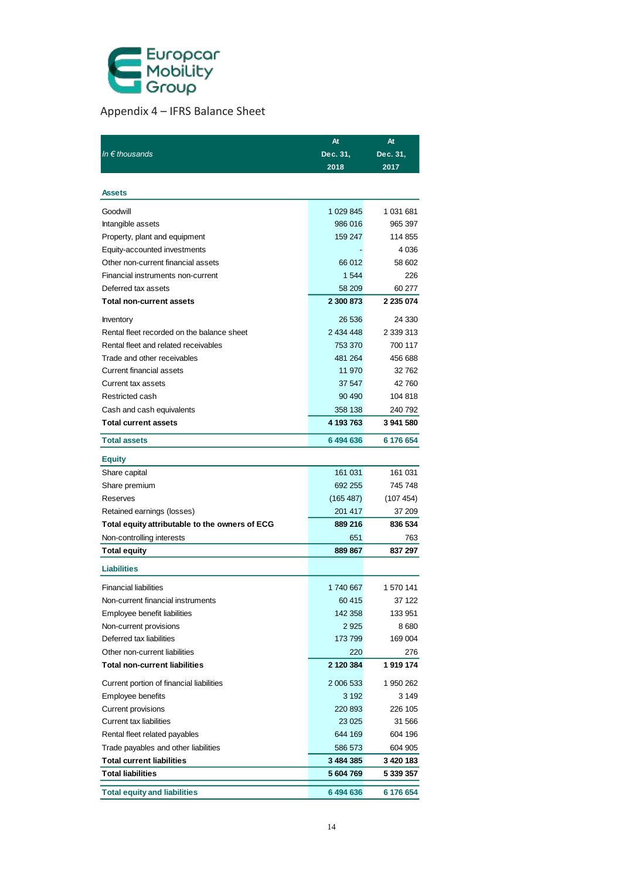

## Appendix 4 – IFRS Balance Sheet

| In $\epsilon$ thousands<br>Dec. 31,<br>Dec. 31,<br>2018<br>2017<br>Assets<br>Goodwill<br>1 029 845<br>1 031 681<br>986 016<br>Intangible assets<br>965 397<br>114 855<br>Property, plant and equipment<br>159 247<br>Equity-accounted investments<br>Other non-current financial assets<br>58 602<br>66 012<br>Financial instruments non-current<br>1544<br>226<br>Deferred tax assets<br>58 209<br>60 277<br>2 300 873<br>2 235 074<br><b>Total non-current assets</b><br>26 536<br>24 330<br>Inventory<br>Rental fleet recorded on the balance sheet<br>2 434 448<br>2 339 313<br>Rental fleet and related receivables<br>700 117<br>753 370<br>Trade and other receivables<br>481 264<br>456 688<br>Current financial assets<br>11 970<br>32762<br>Current tax assets<br>37 547<br>42760<br>Restricted cash<br>90 490<br>104 818<br>Cash and cash equivalents<br>358 138<br><b>Total current assets</b><br>4 193 763<br>3 941 580<br>6 176 654<br><b>Total assets</b><br>6494636<br><b>Equity</b><br>161 031<br>Share capital<br>161 031<br>692 255<br>Share premium<br>745 748<br>(165 487)<br>Reserves<br>201 417<br>Retained earnings (losses)<br>836 534<br>Total equity attributable to the owners of ECG<br>889 216<br>651<br>Non-controlling interests<br>763<br>889 867<br><b>Total equity</b><br><b>Liabilities</b><br><b>Financial liabilities</b><br>1740 667<br>1 570 141<br>60415<br>37 122<br>Non-current financial instruments<br>Employee benefit liabilities<br>142 358<br>133 951<br>2925<br>Non-current provisions<br>Deferred tax liabilities<br>169 004<br>173 799<br>Other non-current liabilities<br>220<br><b>Total non-current liabilities</b><br>2 120 384<br>1919174<br>Current portion of financial liabilities<br>2 006 533<br>1 950 262<br>Employee benefits<br>3 1 9 2<br>Current provisions<br>220 893<br><b>Current tax liabilities</b><br>23 025<br>644 169<br>Rental fleet related payables<br>604 196<br>Trade payables and other liabilities<br>586 573<br>604 905<br><b>Total current liabilities</b><br>3 484 385 |                          | At        | At        |
|-------------------------------------------------------------------------------------------------------------------------------------------------------------------------------------------------------------------------------------------------------------------------------------------------------------------------------------------------------------------------------------------------------------------------------------------------------------------------------------------------------------------------------------------------------------------------------------------------------------------------------------------------------------------------------------------------------------------------------------------------------------------------------------------------------------------------------------------------------------------------------------------------------------------------------------------------------------------------------------------------------------------------------------------------------------------------------------------------------------------------------------------------------------------------------------------------------------------------------------------------------------------------------------------------------------------------------------------------------------------------------------------------------------------------------------------------------------------------------------------------------------------------------------------------------------------------------------------------------------------------------------------------------------------------------------------------------------------------------------------------------------------------------------------------------------------------------------------------------------------------------------------------------------------------------------------------------------------------------------------------------------------------------------------------------------|--------------------------|-----------|-----------|
|                                                                                                                                                                                                                                                                                                                                                                                                                                                                                                                                                                                                                                                                                                                                                                                                                                                                                                                                                                                                                                                                                                                                                                                                                                                                                                                                                                                                                                                                                                                                                                                                                                                                                                                                                                                                                                                                                                                                                                                                                                                             |                          |           |           |
|                                                                                                                                                                                                                                                                                                                                                                                                                                                                                                                                                                                                                                                                                                                                                                                                                                                                                                                                                                                                                                                                                                                                                                                                                                                                                                                                                                                                                                                                                                                                                                                                                                                                                                                                                                                                                                                                                                                                                                                                                                                             |                          |           |           |
|                                                                                                                                                                                                                                                                                                                                                                                                                                                                                                                                                                                                                                                                                                                                                                                                                                                                                                                                                                                                                                                                                                                                                                                                                                                                                                                                                                                                                                                                                                                                                                                                                                                                                                                                                                                                                                                                                                                                                                                                                                                             |                          |           |           |
| 4 0 36<br>240 792<br>(107 454)<br>37 209<br>837 297<br>8 680<br>276<br>3 1 4 9<br>226 105<br>31 566<br>3 420 183                                                                                                                                                                                                                                                                                                                                                                                                                                                                                                                                                                                                                                                                                                                                                                                                                                                                                                                                                                                                                                                                                                                                                                                                                                                                                                                                                                                                                                                                                                                                                                                                                                                                                                                                                                                                                                                                                                                                            |                          |           |           |
|                                                                                                                                                                                                                                                                                                                                                                                                                                                                                                                                                                                                                                                                                                                                                                                                                                                                                                                                                                                                                                                                                                                                                                                                                                                                                                                                                                                                                                                                                                                                                                                                                                                                                                                                                                                                                                                                                                                                                                                                                                                             |                          |           |           |
|                                                                                                                                                                                                                                                                                                                                                                                                                                                                                                                                                                                                                                                                                                                                                                                                                                                                                                                                                                                                                                                                                                                                                                                                                                                                                                                                                                                                                                                                                                                                                                                                                                                                                                                                                                                                                                                                                                                                                                                                                                                             |                          |           |           |
|                                                                                                                                                                                                                                                                                                                                                                                                                                                                                                                                                                                                                                                                                                                                                                                                                                                                                                                                                                                                                                                                                                                                                                                                                                                                                                                                                                                                                                                                                                                                                                                                                                                                                                                                                                                                                                                                                                                                                                                                                                                             |                          |           |           |
|                                                                                                                                                                                                                                                                                                                                                                                                                                                                                                                                                                                                                                                                                                                                                                                                                                                                                                                                                                                                                                                                                                                                                                                                                                                                                                                                                                                                                                                                                                                                                                                                                                                                                                                                                                                                                                                                                                                                                                                                                                                             |                          |           |           |
|                                                                                                                                                                                                                                                                                                                                                                                                                                                                                                                                                                                                                                                                                                                                                                                                                                                                                                                                                                                                                                                                                                                                                                                                                                                                                                                                                                                                                                                                                                                                                                                                                                                                                                                                                                                                                                                                                                                                                                                                                                                             |                          |           |           |
|                                                                                                                                                                                                                                                                                                                                                                                                                                                                                                                                                                                                                                                                                                                                                                                                                                                                                                                                                                                                                                                                                                                                                                                                                                                                                                                                                                                                                                                                                                                                                                                                                                                                                                                                                                                                                                                                                                                                                                                                                                                             |                          |           |           |
|                                                                                                                                                                                                                                                                                                                                                                                                                                                                                                                                                                                                                                                                                                                                                                                                                                                                                                                                                                                                                                                                                                                                                                                                                                                                                                                                                                                                                                                                                                                                                                                                                                                                                                                                                                                                                                                                                                                                                                                                                                                             |                          |           |           |
|                                                                                                                                                                                                                                                                                                                                                                                                                                                                                                                                                                                                                                                                                                                                                                                                                                                                                                                                                                                                                                                                                                                                                                                                                                                                                                                                                                                                                                                                                                                                                                                                                                                                                                                                                                                                                                                                                                                                                                                                                                                             |                          |           |           |
|                                                                                                                                                                                                                                                                                                                                                                                                                                                                                                                                                                                                                                                                                                                                                                                                                                                                                                                                                                                                                                                                                                                                                                                                                                                                                                                                                                                                                                                                                                                                                                                                                                                                                                                                                                                                                                                                                                                                                                                                                                                             |                          |           |           |
|                                                                                                                                                                                                                                                                                                                                                                                                                                                                                                                                                                                                                                                                                                                                                                                                                                                                                                                                                                                                                                                                                                                                                                                                                                                                                                                                                                                                                                                                                                                                                                                                                                                                                                                                                                                                                                                                                                                                                                                                                                                             |                          |           |           |
|                                                                                                                                                                                                                                                                                                                                                                                                                                                                                                                                                                                                                                                                                                                                                                                                                                                                                                                                                                                                                                                                                                                                                                                                                                                                                                                                                                                                                                                                                                                                                                                                                                                                                                                                                                                                                                                                                                                                                                                                                                                             |                          |           |           |
|                                                                                                                                                                                                                                                                                                                                                                                                                                                                                                                                                                                                                                                                                                                                                                                                                                                                                                                                                                                                                                                                                                                                                                                                                                                                                                                                                                                                                                                                                                                                                                                                                                                                                                                                                                                                                                                                                                                                                                                                                                                             |                          |           |           |
|                                                                                                                                                                                                                                                                                                                                                                                                                                                                                                                                                                                                                                                                                                                                                                                                                                                                                                                                                                                                                                                                                                                                                                                                                                                                                                                                                                                                                                                                                                                                                                                                                                                                                                                                                                                                                                                                                                                                                                                                                                                             |                          |           |           |
|                                                                                                                                                                                                                                                                                                                                                                                                                                                                                                                                                                                                                                                                                                                                                                                                                                                                                                                                                                                                                                                                                                                                                                                                                                                                                                                                                                                                                                                                                                                                                                                                                                                                                                                                                                                                                                                                                                                                                                                                                                                             |                          |           |           |
|                                                                                                                                                                                                                                                                                                                                                                                                                                                                                                                                                                                                                                                                                                                                                                                                                                                                                                                                                                                                                                                                                                                                                                                                                                                                                                                                                                                                                                                                                                                                                                                                                                                                                                                                                                                                                                                                                                                                                                                                                                                             |                          |           |           |
|                                                                                                                                                                                                                                                                                                                                                                                                                                                                                                                                                                                                                                                                                                                                                                                                                                                                                                                                                                                                                                                                                                                                                                                                                                                                                                                                                                                                                                                                                                                                                                                                                                                                                                                                                                                                                                                                                                                                                                                                                                                             |                          |           |           |
|                                                                                                                                                                                                                                                                                                                                                                                                                                                                                                                                                                                                                                                                                                                                                                                                                                                                                                                                                                                                                                                                                                                                                                                                                                                                                                                                                                                                                                                                                                                                                                                                                                                                                                                                                                                                                                                                                                                                                                                                                                                             |                          |           |           |
|                                                                                                                                                                                                                                                                                                                                                                                                                                                                                                                                                                                                                                                                                                                                                                                                                                                                                                                                                                                                                                                                                                                                                                                                                                                                                                                                                                                                                                                                                                                                                                                                                                                                                                                                                                                                                                                                                                                                                                                                                                                             |                          |           |           |
|                                                                                                                                                                                                                                                                                                                                                                                                                                                                                                                                                                                                                                                                                                                                                                                                                                                                                                                                                                                                                                                                                                                                                                                                                                                                                                                                                                                                                                                                                                                                                                                                                                                                                                                                                                                                                                                                                                                                                                                                                                                             |                          |           |           |
|                                                                                                                                                                                                                                                                                                                                                                                                                                                                                                                                                                                                                                                                                                                                                                                                                                                                                                                                                                                                                                                                                                                                                                                                                                                                                                                                                                                                                                                                                                                                                                                                                                                                                                                                                                                                                                                                                                                                                                                                                                                             |                          |           |           |
|                                                                                                                                                                                                                                                                                                                                                                                                                                                                                                                                                                                                                                                                                                                                                                                                                                                                                                                                                                                                                                                                                                                                                                                                                                                                                                                                                                                                                                                                                                                                                                                                                                                                                                                                                                                                                                                                                                                                                                                                                                                             |                          |           |           |
|                                                                                                                                                                                                                                                                                                                                                                                                                                                                                                                                                                                                                                                                                                                                                                                                                                                                                                                                                                                                                                                                                                                                                                                                                                                                                                                                                                                                                                                                                                                                                                                                                                                                                                                                                                                                                                                                                                                                                                                                                                                             |                          |           |           |
|                                                                                                                                                                                                                                                                                                                                                                                                                                                                                                                                                                                                                                                                                                                                                                                                                                                                                                                                                                                                                                                                                                                                                                                                                                                                                                                                                                                                                                                                                                                                                                                                                                                                                                                                                                                                                                                                                                                                                                                                                                                             |                          |           |           |
|                                                                                                                                                                                                                                                                                                                                                                                                                                                                                                                                                                                                                                                                                                                                                                                                                                                                                                                                                                                                                                                                                                                                                                                                                                                                                                                                                                                                                                                                                                                                                                                                                                                                                                                                                                                                                                                                                                                                                                                                                                                             |                          |           |           |
|                                                                                                                                                                                                                                                                                                                                                                                                                                                                                                                                                                                                                                                                                                                                                                                                                                                                                                                                                                                                                                                                                                                                                                                                                                                                                                                                                                                                                                                                                                                                                                                                                                                                                                                                                                                                                                                                                                                                                                                                                                                             |                          |           |           |
|                                                                                                                                                                                                                                                                                                                                                                                                                                                                                                                                                                                                                                                                                                                                                                                                                                                                                                                                                                                                                                                                                                                                                                                                                                                                                                                                                                                                                                                                                                                                                                                                                                                                                                                                                                                                                                                                                                                                                                                                                                                             |                          |           |           |
|                                                                                                                                                                                                                                                                                                                                                                                                                                                                                                                                                                                                                                                                                                                                                                                                                                                                                                                                                                                                                                                                                                                                                                                                                                                                                                                                                                                                                                                                                                                                                                                                                                                                                                                                                                                                                                                                                                                                                                                                                                                             |                          |           |           |
|                                                                                                                                                                                                                                                                                                                                                                                                                                                                                                                                                                                                                                                                                                                                                                                                                                                                                                                                                                                                                                                                                                                                                                                                                                                                                                                                                                                                                                                                                                                                                                                                                                                                                                                                                                                                                                                                                                                                                                                                                                                             |                          |           |           |
|                                                                                                                                                                                                                                                                                                                                                                                                                                                                                                                                                                                                                                                                                                                                                                                                                                                                                                                                                                                                                                                                                                                                                                                                                                                                                                                                                                                                                                                                                                                                                                                                                                                                                                                                                                                                                                                                                                                                                                                                                                                             |                          |           |           |
|                                                                                                                                                                                                                                                                                                                                                                                                                                                                                                                                                                                                                                                                                                                                                                                                                                                                                                                                                                                                                                                                                                                                                                                                                                                                                                                                                                                                                                                                                                                                                                                                                                                                                                                                                                                                                                                                                                                                                                                                                                                             |                          |           |           |
|                                                                                                                                                                                                                                                                                                                                                                                                                                                                                                                                                                                                                                                                                                                                                                                                                                                                                                                                                                                                                                                                                                                                                                                                                                                                                                                                                                                                                                                                                                                                                                                                                                                                                                                                                                                                                                                                                                                                                                                                                                                             |                          |           |           |
|                                                                                                                                                                                                                                                                                                                                                                                                                                                                                                                                                                                                                                                                                                                                                                                                                                                                                                                                                                                                                                                                                                                                                                                                                                                                                                                                                                                                                                                                                                                                                                                                                                                                                                                                                                                                                                                                                                                                                                                                                                                             |                          |           |           |
|                                                                                                                                                                                                                                                                                                                                                                                                                                                                                                                                                                                                                                                                                                                                                                                                                                                                                                                                                                                                                                                                                                                                                                                                                                                                                                                                                                                                                                                                                                                                                                                                                                                                                                                                                                                                                                                                                                                                                                                                                                                             |                          |           |           |
|                                                                                                                                                                                                                                                                                                                                                                                                                                                                                                                                                                                                                                                                                                                                                                                                                                                                                                                                                                                                                                                                                                                                                                                                                                                                                                                                                                                                                                                                                                                                                                                                                                                                                                                                                                                                                                                                                                                                                                                                                                                             |                          |           |           |
|                                                                                                                                                                                                                                                                                                                                                                                                                                                                                                                                                                                                                                                                                                                                                                                                                                                                                                                                                                                                                                                                                                                                                                                                                                                                                                                                                                                                                                                                                                                                                                                                                                                                                                                                                                                                                                                                                                                                                                                                                                                             |                          |           |           |
|                                                                                                                                                                                                                                                                                                                                                                                                                                                                                                                                                                                                                                                                                                                                                                                                                                                                                                                                                                                                                                                                                                                                                                                                                                                                                                                                                                                                                                                                                                                                                                                                                                                                                                                                                                                                                                                                                                                                                                                                                                                             |                          |           |           |
|                                                                                                                                                                                                                                                                                                                                                                                                                                                                                                                                                                                                                                                                                                                                                                                                                                                                                                                                                                                                                                                                                                                                                                                                                                                                                                                                                                                                                                                                                                                                                                                                                                                                                                                                                                                                                                                                                                                                                                                                                                                             |                          |           |           |
|                                                                                                                                                                                                                                                                                                                                                                                                                                                                                                                                                                                                                                                                                                                                                                                                                                                                                                                                                                                                                                                                                                                                                                                                                                                                                                                                                                                                                                                                                                                                                                                                                                                                                                                                                                                                                                                                                                                                                                                                                                                             |                          |           |           |
|                                                                                                                                                                                                                                                                                                                                                                                                                                                                                                                                                                                                                                                                                                                                                                                                                                                                                                                                                                                                                                                                                                                                                                                                                                                                                                                                                                                                                                                                                                                                                                                                                                                                                                                                                                                                                                                                                                                                                                                                                                                             |                          |           |           |
|                                                                                                                                                                                                                                                                                                                                                                                                                                                                                                                                                                                                                                                                                                                                                                                                                                                                                                                                                                                                                                                                                                                                                                                                                                                                                                                                                                                                                                                                                                                                                                                                                                                                                                                                                                                                                                                                                                                                                                                                                                                             |                          |           |           |
|                                                                                                                                                                                                                                                                                                                                                                                                                                                                                                                                                                                                                                                                                                                                                                                                                                                                                                                                                                                                                                                                                                                                                                                                                                                                                                                                                                                                                                                                                                                                                                                                                                                                                                                                                                                                                                                                                                                                                                                                                                                             |                          |           |           |
|                                                                                                                                                                                                                                                                                                                                                                                                                                                                                                                                                                                                                                                                                                                                                                                                                                                                                                                                                                                                                                                                                                                                                                                                                                                                                                                                                                                                                                                                                                                                                                                                                                                                                                                                                                                                                                                                                                                                                                                                                                                             |                          |           |           |
|                                                                                                                                                                                                                                                                                                                                                                                                                                                                                                                                                                                                                                                                                                                                                                                                                                                                                                                                                                                                                                                                                                                                                                                                                                                                                                                                                                                                                                                                                                                                                                                                                                                                                                                                                                                                                                                                                                                                                                                                                                                             | <b>Total liabilities</b> | 5 604 769 | 5 339 357 |
| <b>Total equity and liabilities</b><br>6 494 636<br>6 176 654                                                                                                                                                                                                                                                                                                                                                                                                                                                                                                                                                                                                                                                                                                                                                                                                                                                                                                                                                                                                                                                                                                                                                                                                                                                                                                                                                                                                                                                                                                                                                                                                                                                                                                                                                                                                                                                                                                                                                                                               |                          |           |           |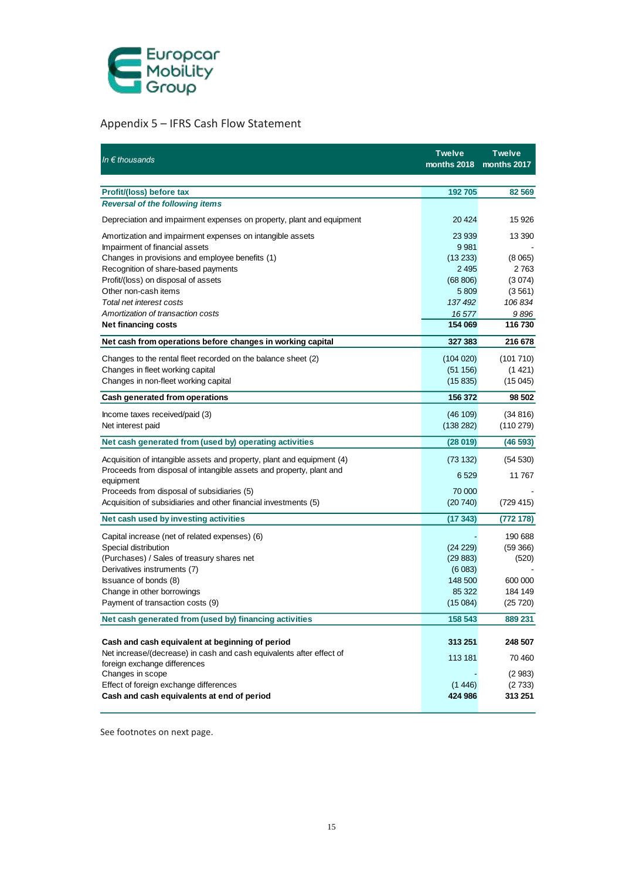

## Appendix 5 – IFRS Cash Flow Statement

| In $\epsilon$ thousands                                                          | <b>Twelve</b><br>months 2018 | <b>Twelve</b><br>months 2017 |
|----------------------------------------------------------------------------------|------------------------------|------------------------------|
|                                                                                  |                              |                              |
| Profit/(loss) before tax                                                         | 192 705                      | 82 569                       |
| <b>Reversal of the following items</b>                                           |                              |                              |
| Depreciation and impairment expenses on property, plant and equipment            | 20 4 24                      | 15 926                       |
| Amortization and impairment expenses on intangible assets                        | 23 939                       | 13 390                       |
| Impairment of financial assets                                                   | 9981                         |                              |
| Changes in provisions and employee benefits (1)                                  | (13 233)                     | (8065)                       |
| Recognition of share-based payments                                              | 2 4 9 5                      | 2763                         |
| Profit/(loss) on disposal of assets                                              | (68 806)                     | (3074)                       |
| Other non-cash items                                                             | 5809                         | (3561)                       |
| Total net interest costs                                                         | 137 492                      | 106834                       |
| Amortization of transaction costs                                                | 16577                        | 9896                         |
| <b>Net financing costs</b>                                                       | 154 069                      | 116 730                      |
| Net cash from operations before changes in working capital                       | 327 383                      | 216 678                      |
| Changes to the rental fleet recorded on the balance sheet (2)                    | (104 020)                    | (101710)                     |
| Changes in fleet working capital                                                 | (51 156)                     | (1421)                       |
| Changes in non-fleet working capital                                             | (15835)                      | (15045)                      |
| Cash generated from operations                                                   | 156 372                      | 98 502                       |
| Income taxes received/paid (3)                                                   | (46 109)                     | (34816)                      |
| Net interest paid                                                                | (138 282)                    | (110 279)                    |
| Net cash generated from (used by) operating activities                           | (28019)                      | (46593)                      |
| Acquisition of intangible assets and property, plant and equipment (4)           | (73132)                      | (54 530)                     |
| Proceeds from disposal of intangible assets and property, plant and<br>equipment | 6 5 29                       | 11 767                       |
| Proceeds from disposal of subsidiaries (5)                                       | 70 000                       |                              |
| Acquisition of subsidiaries and other financial investments (5)                  | (20740)                      | (729 415)                    |
| Net cash used by investing activities                                            | (17 343)                     | (772178)                     |
| Capital increase (net of related expenses) (6)                                   |                              | 190 688                      |
| Special distribution                                                             | (24 229)                     | (59 366)                     |
| (Purchases) / Sales of treasury shares net                                       | (29883)                      | (520)                        |
| Derivatives instruments (7)                                                      | (6083)                       |                              |
| Issuance of bonds (8)                                                            | 148 500                      | 600 000                      |
| Change in other borrowings                                                       | 85 322                       | 184 149                      |
| Payment of transaction costs (9)                                                 | (15084)                      | (25 720)                     |
| Net cash generated from (used by) financing activities                           | 158 543                      | 889 231                      |
| Cash and cash equivalent at beginning of period                                  | 313 251                      | 248 507                      |
| Net increase/(decrease) in cash and cash equivalents after effect of             |                              |                              |
| foreign exchange differences                                                     | 113 181                      | 70 460                       |
| Changes in scope                                                                 |                              | (2983)                       |
| Effect of foreign exchange differences                                           | (1446)                       | (2733)                       |
| Cash and cash equivalents at end of period                                       | 424 986                      | 313 251                      |

See footnotes on next page.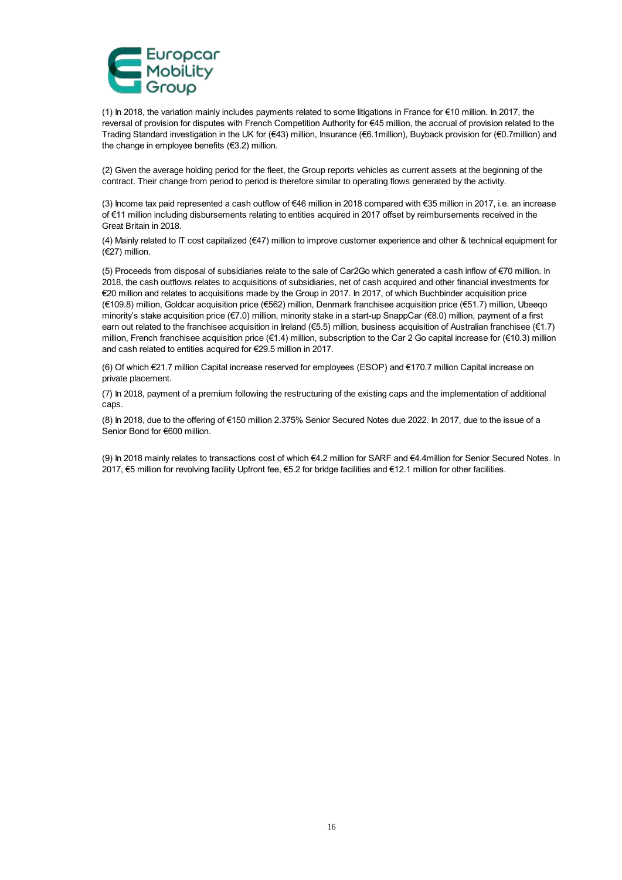

(1) In 2018, the variation mainly includes payments related to some litigations in France for €10 million. In 2017, the reversal of provision for disputes with French Competition Authority for €45 million, the accrual of provision related to the Trading Standard investigation in the UK for (€43) million, Insurance (€6.1million), Buyback provision for (€0.7million) and the change in employee benefits (€3.2) million.

(2) Given the average holding period for the fleet, the Group reports vehicles as current assets at the beginning of the contract. Their change from period to period is therefore similar to operating flows generated by the activity.

(3) Income tax paid represented a cash outflow of €46 million in 2018 compared with €35 million in 2017, i.e. an increase of €11 million including disbursements relating to entities acquired in 2017 offset by reimbursements received in the Great Britain in 2018.

(4) Mainly related to IT cost capitalized (€47) million to improve customer experience and other & technical equipment for (€27) million.

(5) Proceeds from disposal of subsidiaries relate to the sale of Car2Go which generated a cash inflow of €70 million. In 2018, the cash outflows relates to acquisitions of subsidiaries, net of cash acquired and other financial investments for €20 million and relates to acquisitions made by the Group in 2017. In 2017, of which Buchbinder acquisition price (€109.8) million, Goldcar acquisition price (€562) million, Denmark franchisee acquisition price (€51.7) million, Ubeeqo minority's stake acquisition price (€7.0) million, minority stake in a start-up SnappCar (€8.0) million, payment of a first earn out related to the franchisee acquisition in Ireland (€5.5) million, business acquisition of Australian franchisee (€1.7) million, French franchisee acquisition price (€1.4) million, subscription to the Car 2 Go capital increase for (€10.3) million and cash related to entities acquired for €29.5 million in 2017.

(6) Of which €21.7 million Capital increase reserved for employees (ESOP) and €170.7 million Capital increase on private placement.

(7) In 2018, payment of a premium following the restructuring of the existing caps and the implementation of additional caps.

(8) In 2018, due to the offering of €150 million 2.375% Senior Secured Notes due 2022. In 2017, due to the issue of a Senior Bond for €600 million.

(9) In 2018 mainly relates to transactions cost of which €4.2 million for SARF and €4.4million for Senior Secured Notes. In 2017, €5 million for revolving facility Upfront fee, €5.2 for bridge facilities and €12.1 million for other facilities.